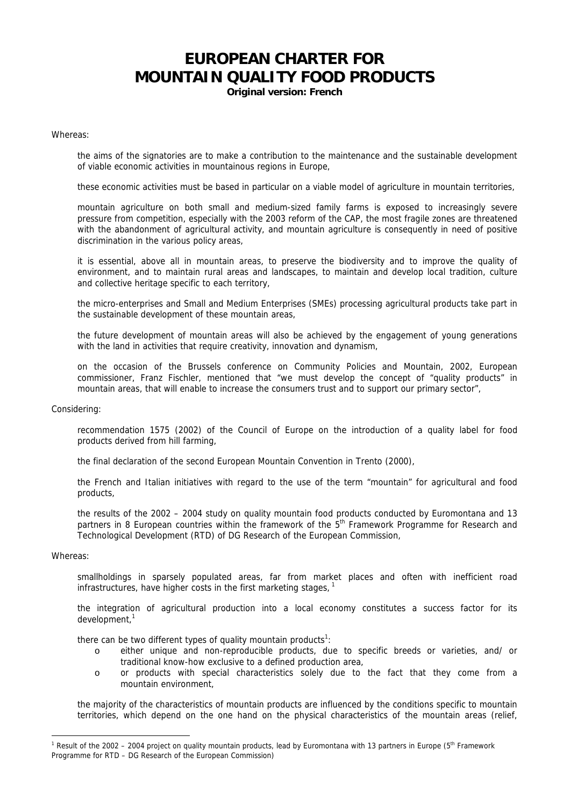## **EUROPEAN CHARTER FOR MOUNTAIN QUALITY FOOD PRODUCTS**

**Original version: French** 

Whereas:

the aims of the signatories are to make a contribution to the maintenance and the sustainable development of viable economic activities in mountainous regions in Europe,

these economic activities must be based in particular on a viable model of agriculture in mountain territories,

mountain agriculture on both small and medium-sized family farms is exposed to increasingly severe pressure from competition, especially with the 2003 reform of the CAP, the most fragile zones are threatened with the abandonment of agricultural activity, and mountain agriculture is consequently in need of positive discrimination in the various policy areas,

it is essential, above all in mountain areas, to preserve the biodiversity and to improve the quality of environment, and to maintain rural areas and landscapes, to maintain and develop local tradition, culture and collective heritage specific to each territory,

the micro-enterprises and Small and Medium Enterprises (SMEs) processing agricultural products take part in the sustainable development of these mountain areas,

the future development of mountain areas will also be achieved by the engagement of young generations with the land in activities that require creativity, innovation and dynamism,

on the occasion of the Brussels conference on Community Policies and Mountain, 2002, European commissioner, Franz Fischler, mentioned that "we must develop the concept of "quality products" in mountain areas, that will enable to increase the consumers trust and to support our primary sector",

## Considering:

recommendation 1575 (2002) of the Council of Europe on the introduction of a quality label for food products derived from hill farming,

the final declaration of the second European Mountain Convention in Trento (2000),

the French and Italian initiatives with regard to the use of the term "mountain" for agricultural and food products,

the results of the 2002 – 2004 study on quality mountain food products conducted by Euromontana and 13 partners in 8 European countries within the framework of the  $5<sup>th</sup>$  Framework Programme for Research and Technological Development (RTD) of DG Research of the European Commission,

## Whereas:

 $\overline{a}$ 

smallholdings in sparsely populated areas, far from market places and often with inefficient road infrastructures, have higher costs in the first marketing stages,

the integration of agricultural production into a local economy constitutes a success factor for its development,<sup>1</sup>

there can be two different types of quality mountain products<sup>1</sup>:

- o either unique and non-reproducible products, due to specific breeds or varieties, and/ or traditional know-how exclusive to a defined production area,
- o or products with special characteristics solely due to the fact that they come from a mountain environment,

the majority of the characteristics of mountain products are influenced by the conditions specific to mountain territories, which depend on the one hand on the physical characteristics of the mountain areas (relief,

<sup>&</sup>lt;sup>1</sup> Result of the 2002 – 2004 project on quality mountain products, lead by Euromontana with 13 partners in Europe (5<sup>th</sup> Framework Programme for RTD – DG Research of the European Commission)